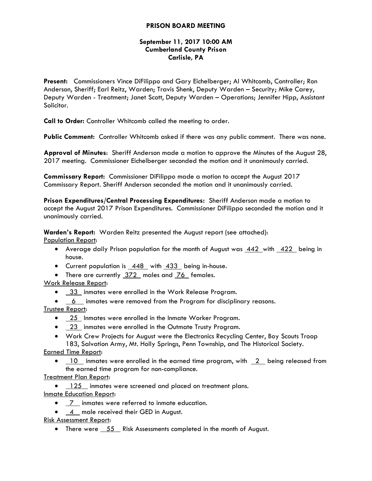# **PRISON BOARD MEETING**

# **September 11, 2017 10:00 AM Cumberland County Prison Carlisle, PA**

**Present:** Commissioners Vince DiFilippo and Gary Eichelberger; Al Whitcomb, Controller; Ron Anderson, Sheriff; Earl Reitz, Warden; Travis Shenk, Deputy Warden – Security; Mike Carey, Deputy Warden - Treatment; Janet Scott, Deputy Warden – Operations; Jennifer Hipp, Assistant Solicitor.

**Call to Order:** Controller Whitcomb called the meeting to order.

**Public Comment:** Controller Whitcomb asked if there was any public comment. There was none.

**Approval of Minutes**: Sheriff Anderson made a motion to approve the Minutes of the August 28, 2017 meeting. Commissioner Eichelberger seconded the motion and it unanimously carried.

**Commissary Report:** Commissioner DiFilippo made a motion to accept the August 2017 Commissary Report. Sheriff Anderson seconded the motion and it unanimously carried.

**Prison Expenditures/Central Processing Expenditures:** Sheriff Anderson made a motion to accept the August 2017 Prison Expenditures. Commissioner DiFilippo seconded the motion and it unanimously carried.

**Warden's Report:** Warden Reitz presented the August report (see attached): Population Report:

- Average daily Prison population for the month of August was  $\frac{442}{ }$  with  $\frac{422}{ }$  being in house.
- Current population is 448 with 433 being in-house.
- There are currently 372 males and 76 females.

Work Release Report:

- 33 inmates were enrolled in the Work Release Program.
- 6 inmates were removed from the Program for disciplinary reasons.

Trustee Report:

- 25 Inmates were enrolled in the Inmate Worker Program.
- 23 inmates were enrolled in the Outmate Trusty Program.
- Work Crew Projects for August were the Electronics Recycling Center, Boy Scouts Troop 183, Salvation Army, Mt. Holly Springs, Penn Township, and The Historical Society.

Earned Time Report:

 $10$  inmates were enrolled in the earned time program, with  $2$  being released from the earned time program for non-compliance.

Treatment Plan Report:

• 125 inmates were screened and placed on treatment plans. Inmate Education Report:

- $\overline{7}$  inmates were referred to inmate education.
- 4 male received their GED in August.

Risk Assessment Report:

• There were  $\overline{55}$  Risk Assessments completed in the month of August.